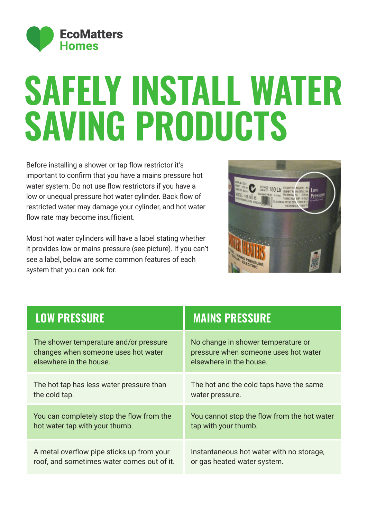

## **SAFELY INSTALL WATER SAVING PRODUCTS**

Before installing a shower or tap flow restrictor it's important to confirm that you have a mains pressure hot water system. Do not use flow restrictors if you have a low or unequal pressure hot water cylinder. Back flow of restricted water may damage your cylinder, and hot water flow rate may become insufficient.

Most hot water cylinders will have a label stating whether it provides low or mains pressure (see picture). If you can't see a label, below are some common features of each system that you can look for.



| <b>LOW PRESSURE</b>                        | <b>MAINS PRESSURE</b>                       |
|--------------------------------------------|---------------------------------------------|
| The shower temperature and/or pressure     | No change in shower temperature or          |
| changes when someone uses hot water        | pressure when someone uses hot water        |
| elsewhere in the house.                    | elsewhere in the house.                     |
| The hot tap has less water pressure than   | The hot and the cold taps have the same     |
| the cold tap.                              | water pressure.                             |
| You can completely stop the flow from the  | You cannot stop the flow from the hot water |
| hot water tap with your thumb.             | tap with your thumb.                        |
| A metal overflow pipe sticks up from your  | Instantaneous hot water with no storage,    |
| roof, and sometimes water comes out of it. | or gas heated water system.                 |